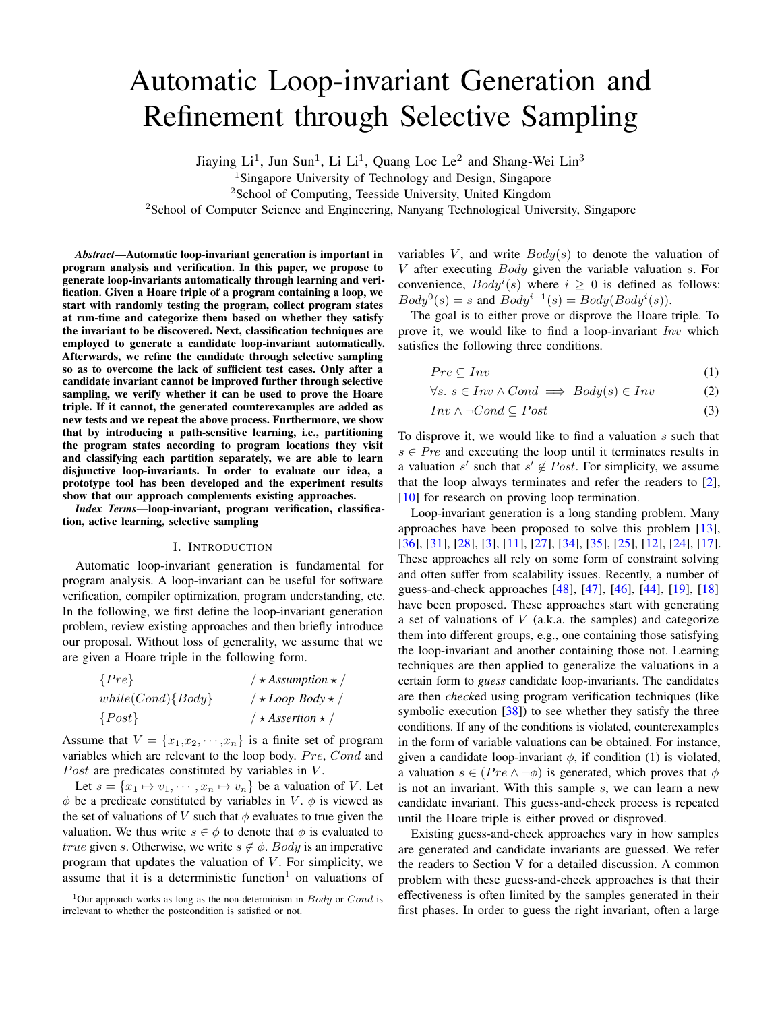# Automatic Loop-invariant Generation and Refinement through Selective Sampling

Jiaying Li<sup>1</sup>, Jun Sun<sup>1</sup>, Li Li<sup>1</sup>, Quang Loc Le<sup>2</sup> and Shang-Wei Lin<sup>3</sup>

<sup>1</sup>Singapore University of Technology and Design, Singapore

<sup>2</sup>School of Computing, Teesside University, United Kingdom

<sup>2</sup>School of Computer Science and Engineering, Nanyang Technological University, Singapore

*Abstract*—Automatic loop-invariant generation is important in program analysis and verification. In this paper, we propose to generate loop-invariants automatically through learning and verification. Given a Hoare triple of a program containing a loop, we start with randomly testing the program, collect program states at run-time and categorize them based on whether they satisfy the invariant to be discovered. Next, classification techniques are employed to generate a candidate loop-invariant automatically. Afterwards, we refine the candidate through selective sampling so as to overcome the lack of sufficient test cases. Only after a candidate invariant cannot be improved further through selective sampling, we verify whether it can be used to prove the Hoare triple. If it cannot, the generated counterexamples are added as new tests and we repeat the above process. Furthermore, we show that by introducing a path-sensitive learning, i.e., partitioning the program states according to program locations they visit and classifying each partition separately, we are able to learn disjunctive loop-invariants. In order to evaluate our idea, a prototype tool has been developed and the experiment results show that our approach complements existing approaches.

*Index Terms*—loop-invariant, program verification, classification, active learning, selective sampling

## I. INTRODUCTION

Automatic loop-invariant generation is fundamental for program analysis. A loop-invariant can be useful for software verification, compiler optimization, program understanding, etc. In the following, we first define the loop-invariant generation problem, review existing approaches and then briefly introduce our proposal. Without loss of generality, we assume that we are given a Hoare triple in the following form.

| $\{Pre\}$            | $\frac{1}{\times}$ Assumption $\star$ /                                               |
|----------------------|---------------------------------------------------------------------------------------|
| $while (Cond){Body}$ | $\frac{\partial \mathbf{L}}{\partial \phi}$ Body $\star$ /                            |
| $\{Post\}$           | $\frac{\triangle}{\triangle}$ $\land$ Assertion $\star$ $\frac{\triangle}{\triangle}$ |

Assume that  $V = \{x_1, x_2, \dots, x_n\}$  is a finite set of program variables which are relevant to the loop body.  $Pre, Cond$  and Post are predicates constituted by variables in  $V$ .

Let  $s = \{x_1 \mapsto v_1, \dots, x_n \mapsto v_n\}$  be a valuation of V. Let  $\phi$  be a predicate constituted by variables in V.  $\phi$  is viewed as the set of valuations of V such that  $\phi$  evaluates to true given the valuation. We thus write  $s \in \phi$  to denote that  $\phi$  is evaluated to *true* given s. Otherwise, we write  $s \notin \phi$ . Body is an imperative program that updates the valuation of  $V$ . For simplicity, we assume that it is a deterministic function<sup>[1](#page-0-0)</sup> on valuations of

<span id="page-0-0"></span><sup>1</sup>Our approach works as long as the non-determinism in *Body* or *Cond* is irrelevant to whether the postcondition is satisfied or not.

variables  $V$ , and write  $Body(s)$  to denote the valuation of V after executing  $Body$  given the variable valuation  $s$ . For convenience,  $Body<sup>i</sup>(s)$  where  $i \geq 0$  is defined as follows:  $Body^0(s) = s$  and  $Body^{i+1}(s) = Body(Body^i(s)).$ 

The goal is to either prove or disprove the Hoare triple. To prove it, we would like to find a loop-invariant Inv which satisfies the following three conditions.

$$
Pre \subseteq Inv \tag{1}
$$

 $\forall s. s \in Inv \land Cond \implies Body(s) \in Inv$  (2)

 $Inv \wedge \neg Cond \subseteq Post$  (3)

To disprove it, we would like to find a valuation  $s$  such that  $s \in Pre$  and executing the loop until it terminates results in a valuation s' such that  $s' \notin Post$ . For simplicity, we assume that the loop always terminates and refer the readers to [\[2\]](#page-10-0), [\[10\]](#page-10-1) for research on proving loop termination.

Loop-invariant generation is a long standing problem. Many approaches have been proposed to solve this problem [\[13\]](#page-10-2), [\[36\]](#page-10-3), [\[31\]](#page-10-4), [\[28\]](#page-10-5), [\[3\]](#page-10-6), [\[11\]](#page-10-7), [\[27\]](#page-10-8), [\[34\]](#page-10-9), [\[35\]](#page-10-10), [\[25\]](#page-10-11), [\[12\]](#page-10-12), [\[24\]](#page-10-13), [\[17\]](#page-10-14). These approaches all rely on some form of constraint solving and often suffer from scalability issues. Recently, a number of guess-and-check approaches [\[48\]](#page-10-15), [\[47\]](#page-10-16), [\[46\]](#page-10-17), [\[44\]](#page-10-18), [\[19\]](#page-10-19), [\[18\]](#page-10-20) have been proposed. These approaches start with generating a set of valuations of  $V$  (a.k.a. the samples) and categorize them into different groups, e.g., one containing those satisfying the loop-invariant and another containing those not. Learning techniques are then applied to generalize the valuations in a certain form to *guess* candidate loop-invariants. The candidates are then *check*ed using program verification techniques (like symbolic execution  $[38]$ ) to see whether they satisfy the three conditions. If any of the conditions is violated, counterexamples in the form of variable valuations can be obtained. For instance, given a candidate loop-invariant  $\phi$ , if condition (1) is violated, a valuation  $s \in (Pre \land \neg \phi)$  is generated, which proves that  $\phi$ is not an invariant. With this sample s, we can learn a new candidate invariant. This guess-and-check process is repeated until the Hoare triple is either proved or disproved.

Existing guess-and-check approaches vary in how samples are generated and candidate invariants are guessed. We refer the readers to Section [V](#page-9-0) for a detailed discussion. A common problem with these guess-and-check approaches is that their effectiveness is often limited by the samples generated in their first phases. In order to guess the right invariant, often a large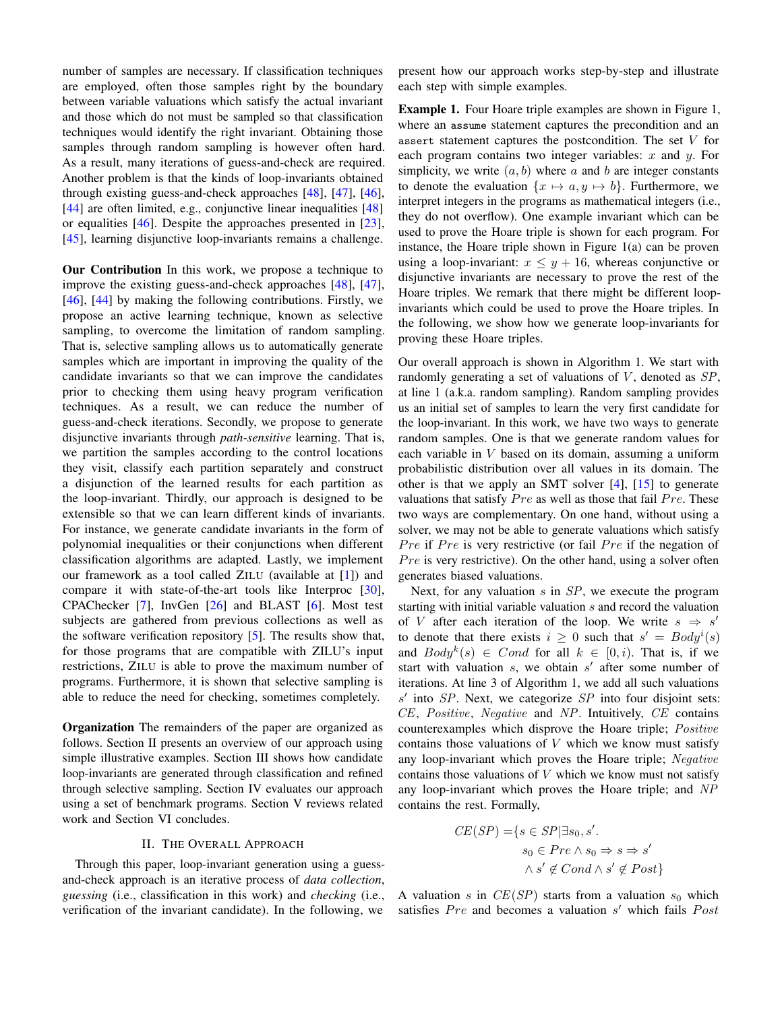number of samples are necessary. If classification techniques are employed, often those samples right by the boundary between variable valuations which satisfy the actual invariant and those which do not must be sampled so that classification techniques would identify the right invariant. Obtaining those samples through random sampling is however often hard. As a result, many iterations of guess-and-check are required. Another problem is that the kinds of loop-invariants obtained through existing guess-and-check approaches [\[48\]](#page-10-15), [\[47\]](#page-10-16), [\[46\]](#page-10-17), [\[44\]](#page-10-18) are often limited, e.g., conjunctive linear inequalities [\[48\]](#page-10-15) or equalities [\[46\]](#page-10-17). Despite the approaches presented in [\[23\]](#page-10-22), [\[45\]](#page-10-23), learning disjunctive loop-invariants remains a challenge.

Our Contribution In this work, we propose a technique to improve the existing guess-and-check approaches [\[48\]](#page-10-15), [\[47\]](#page-10-16), [\[46\]](#page-10-17), [\[44\]](#page-10-18) by making the following contributions. Firstly, we propose an active learning technique, known as selective sampling, to overcome the limitation of random sampling. That is, selective sampling allows us to automatically generate samples which are important in improving the quality of the candidate invariants so that we can improve the candidates prior to checking them using heavy program verification techniques. As a result, we can reduce the number of guess-and-check iterations. Secondly, we propose to generate disjunctive invariants through *path-sensitive* learning. That is, we partition the samples according to the control locations they visit, classify each partition separately and construct a disjunction of the learned results for each partition as the loop-invariant. Thirdly, our approach is designed to be extensible so that we can learn different kinds of invariants. For instance, we generate candidate invariants in the form of polynomial inequalities or their conjunctions when different classification algorithms are adapted. Lastly, we implement our framework as a tool called ZILU (available at [\[1\]](#page-10-24)) and compare it with state-of-the-art tools like Interproc [\[30\]](#page-10-25), CPAChecker [\[7\]](#page-10-26), InvGen [\[26\]](#page-10-27) and BLAST [\[6\]](#page-10-28). Most test subjects are gathered from previous collections as well as the software verification repository [\[5\]](#page-10-29). The results show that, for those programs that are compatible with ZILU's input restrictions, ZILU is able to prove the maximum number of programs. Furthermore, it is shown that selective sampling is able to reduce the need for checking, sometimes completely.

Organization The remainders of the paper are organized as follows. Section [II](#page-1-0) presents an overview of our approach using simple illustrative examples. Section [III](#page-3-0) shows how candidate loop-invariants are generated through classification and refined through selective sampling. Section [IV](#page-6-0) evaluates our approach using a set of benchmark programs. Section [V](#page-9-0) reviews related work and Section [VI](#page-9-1) concludes.

## II. THE OVERALL APPROACH

<span id="page-1-0"></span>Through this paper, loop-invariant generation using a guessand-check approach is an iterative process of *data collection*, *guessing* (i.e., classification in this work) and *checking* (i.e., verification of the invariant candidate). In the following, we

present how our approach works step-by-step and illustrate each step with simple examples.

Example 1. Four Hoare triple examples are shown in Figure [1,](#page-2-0) where an assume statement captures the precondition and an assert statement captures the postcondition. The set  $V$  for each program contains two integer variables:  $x$  and  $y$ . For simplicity, we write  $(a, b)$  where a and b are integer constants to denote the evaluation  $\{x \mapsto a, y \mapsto b\}$ . Furthermore, we interpret integers in the programs as mathematical integers (i.e., they do not overflow). One example invariant which can be used to prove the Hoare triple is shown for each program. For instance, the Hoare triple shown in Figure [1\(](#page-2-0)a) can be proven using a loop-invariant:  $x \leq y + 16$ , whereas conjunctive or disjunctive invariants are necessary to prove the rest of the Hoare triples. We remark that there might be different loopinvariants which could be used to prove the Hoare triples. In the following, we show how we generate loop-invariants for proving these Hoare triples.

Our overall approach is shown in Algorithm [1.](#page-2-1) We start with randomly generating a set of valuations of  $V$ , denoted as  $SP$ , at line 1 (a.k.a. random sampling). Random sampling provides us an initial set of samples to learn the very first candidate for the loop-invariant. In this work, we have two ways to generate random samples. One is that we generate random values for each variable in V based on its domain, assuming a uniform probabilistic distribution over all values in its domain. The other is that we apply an SMT solver [\[4\]](#page-10-30), [\[15\]](#page-10-31) to generate valuations that satisfy  $Pre$  as well as those that fail  $Pre$ . These two ways are complementary. On one hand, without using a solver, we may not be able to generate valuations which satisfy *Pre* if Pre is very restrictive (or fail Pre if the negation of  $Pre$  is very restrictive). On the other hand, using a solver often generates biased valuations.

Next, for any valuation  $s$  in  $SP$ , we execute the program starting with initial variable valuation s and record the valuation of V after each iteration of the loop. We write  $s \Rightarrow s'$ to denote that there exists  $i \geq 0$  such that  $s' = Body^i(s)$ and  $Body^k(s) \in Cond$  for all  $k \in [0, i)$ . That is, if we start with valuation  $s$ , we obtain  $s'$  after some number of iterations. At line 3 of Algorithm [1,](#page-2-1) we add all such valuations  $s'$  into  $SP$ . Next, we categorize  $SP$  into four disjoint sets: CE, Positive, Negative and NP. Intuitively, CE contains counterexamples which disprove the Hoare triple; Positive contains those valuations of  $V$  which we know must satisfy any loop-invariant which proves the Hoare triple; Negative contains those valuations of  $V$  which we know must not satisfy any loop-invariant which proves the Hoare triple; and NP contains the rest. Formally,

$$
CE(SP) = \{ s \in SP | \exists s_0, s'.
$$
  

$$
s_0 \in Pre \land s_0 \Rightarrow s \Rightarrow s'
$$
  

$$
\land s' \notin Cond \land s' \notin Post \}
$$

A valuation s in  $CE(SP)$  starts from a valuation  $s_0$  which satisfies  $Pre$  and becomes a valuation  $s'$  which fails  $Post$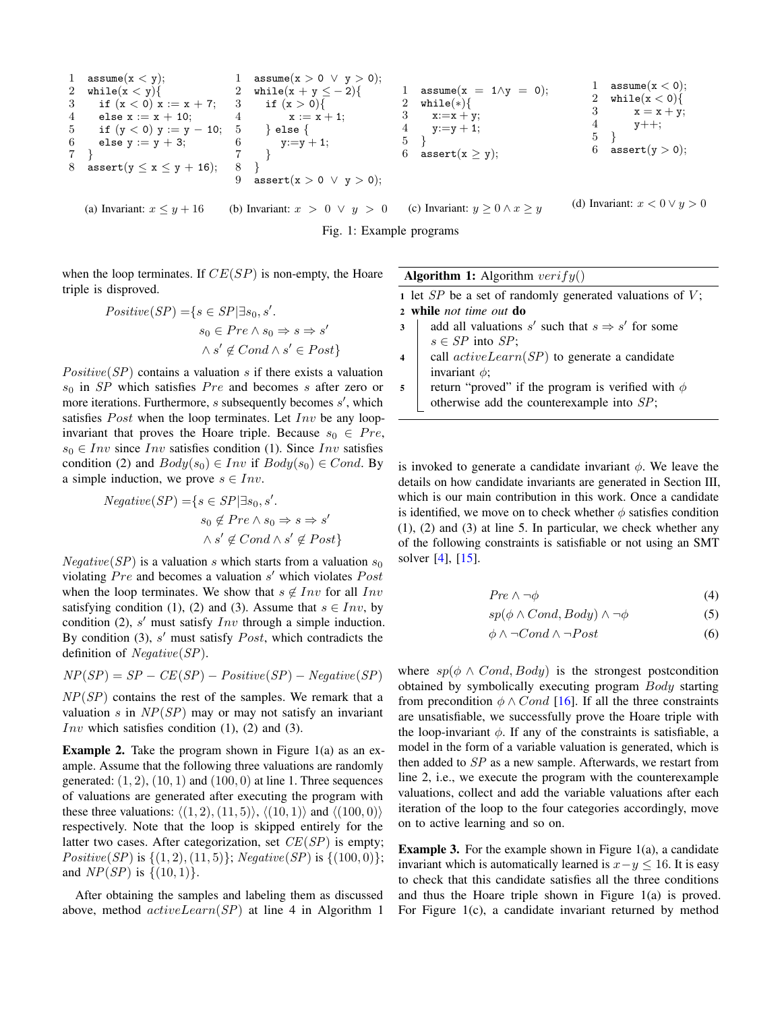<span id="page-2-0"></span>
$$
\begin{array}{llllllll} 1 & \text{assume}(x < y); & 1 & \text{assume}(x > 0 \lor y > 0); \\ 2 & \text{while}(x < y) \{ & 2 & \text{while}(x + y \le -2) \{ & 1 & \text{assume}(x = 1 \land y = 0); & 1 & \text{assume}(x < 0); \\ 3 & \text{if } (x < 0) \ x := x + 7; & 3 & \text{if } (x > 0) \{ & 2 & \text{while}(*) \{ & 3 & x = x + y; & 4 & x := x + 10; & 4 & x := x + 1; & 3 & x = x + y; \\ 4 & \text{else } x := x + 10; & 4 & x := x + 1; & 3 & x = x + y; & 4 & y + +; \\ 5 & \text{else } y := y + 3; & 6 & y := y + 1; & 5 & \\ 6 & \text{else } y := y + 3; & 6 & y := y + 1; & 5 & \\ 7 & \text{assert}(y \le x \le y + 16); & 8 & \\ 9 & \text{assert}(x > 0 \lor y > 0); & \\ \text{(a) Invariant: } x \le y + 16 & \text{(b) Invariant: } x > 0 \lor y > 0 & \text{(c) Invariant: } y \ge 0 \land x \ge y & \text{(d) Invariant: } x < 0 \lor y > 0 \\ \end{array}
$$

Fig. 1: Example programs

when the loop terminates. If  $CE(SP)$  is non-empty, the Hoare triple is disproved.

$$
Positive(SP) = \{s \in SP | \exists s_0, s'.
$$
  

$$
s_0 \in Pre \land s_0 \Rightarrow s \Rightarrow s'
$$
  

$$
\land s' \notin Cond \land s' \in Post\}
$$

 $Positive(SP)$  contains a valuation s if there exists a valuation  $s_0$  in SP which satisfies P re and becomes s after zero or more iterations. Furthermore,  $s$  subsequently becomes  $s'$ , which satisfies *Post* when the loop terminates. Let  $Inv$  be any loopinvariant that proves the Hoare triple. Because  $s_0 \in Pre$ ,  $s_0 \in Inv$  since Inv satisfies condition (1). Since Inv satisfies condition (2) and  $Body(s_0) \in Inv$  if  $Body(s_0) \in Cond$ . By a simple induction, we prove  $s \in Inv$ .

$$
Negative(SP) = \{ s \in SP | \exists s_0, s'.
$$
  

$$
s_0 \notin Pre \land s_0 \Rightarrow s \Rightarrow s'
$$
  

$$
\land s' \notin Cond \land s' \notin Post \}
$$

 $Negative(SP)$  is a valuation s which starts from a valuation  $s_0$ violating  $Pre$  and becomes a valuation  $s'$  which violates  $Post$ when the loop terminates. We show that  $s \notin Inv$  for all  $Inv$ satisfying condition (1), (2) and (3). Assume that  $s \in Inv$ , by condition (2),  $s'$  must satisfy  $Inv$  through a simple induction. By condition (3),  $s'$  must satisfy  $Post$ , which contradicts the definition of *Negative*(SP).

$$
NP(SP) = SP - CE(SP) - Positive(SP) - Negative(SP)
$$

 $NP(SP)$  contains the rest of the samples. We remark that a valuation s in  $NP(SP)$  may or may not satisfy an invariant *Inv* which satisfies condition  $(1)$ ,  $(2)$  and  $(3)$ .

<span id="page-2-2"></span>**Example 2.** Take the program shown in Figure  $1(a)$  as an example. Assume that the following three valuations are randomly generated:  $(1, 2)$ ,  $(10, 1)$  and  $(100, 0)$  at line 1. Three sequences of valuations are generated after executing the program with these three valuations:  $\langle (1, 2), (11, 5) \rangle$ ,  $\langle (10, 1) \rangle$  and  $\langle (100, 0) \rangle$ respectively. Note that the loop is skipped entirely for the latter two cases. After categorization, set  $CE(SP)$  is empty; *Positive*(*SP*) is  $\{(1, 2), (11, 5)\}$ ; *Negative*(*SP*) is  $\{(100, 0)\}$ ; and  $NP(SP)$  is  $\{(10, 1)\}.$ 

After obtaining the samples and labeling them as discussed above, method  $activeLearn(SP)$  at line 4 in Algorithm [1](#page-2-1)

## **Algorithm 1:** Algorithm  $verify()$

- 1 let  $SP$  be a set of randomly generated valuations of  $V$ ; <sup>2</sup> while *not time out* do 3 add all valuations s' such that  $s \Rightarrow s'$  for some  $s \in SP$  into  $SP$ ; 4 call  $activeLearn(SP)$  to generate a candidate invariant  $\phi$ ;
- <span id="page-2-1"></span>5 return "proved" if the program is verified with  $\phi$ otherwise add the counterexample into SP;

is invoked to generate a candidate invariant  $\phi$ . We leave the details on how candidate invariants are generated in Section [III,](#page-3-0) which is our main contribution in this work. Once a candidate is identified, we move on to check whether  $\phi$  satisfies condition (1), (2) and (3) at line 5. In particular, we check whether any of the following constraints is satisfiable or not using an SMT solver [\[4\]](#page-10-30), [\[15\]](#page-10-31).

$$
Pre \wedge \neg \phi \tag{4}
$$

$$
sp(\phi \land Cond, Body) \land \neg \phi \tag{5}
$$

$$
\phi \land \neg Cond \land \neg Post \tag{6}
$$

where  $sp(\phi \land Cond, Body)$  is the strongest postcondition obtained by symbolically executing program Body starting from precondition  $\phi \wedge Cond$  [\[16\]](#page-10-32). If all the three constraints are unsatisfiable, we successfully prove the Hoare triple with the loop-invariant  $\phi$ . If any of the constraints is satisfiable, a model in the form of a variable valuation is generated, which is then added to  $SP$  as a new sample. Afterwards, we restart from line 2, i.e., we execute the program with the counterexample valuations, collect and add the variable valuations after each iteration of the loop to the four categories accordingly, move on to active learning and so on.

**Example 3.** For the example shown in Figure  $1(a)$ , a candidate invariant which is automatically learned is  $x-y \le 16$ . It is easy to check that this candidate satisfies all the three conditions and thus the Hoare triple shown in Figure [1\(](#page-2-0)a) is proved. For Figure [1\(](#page-2-0)c), a candidate invariant returned by method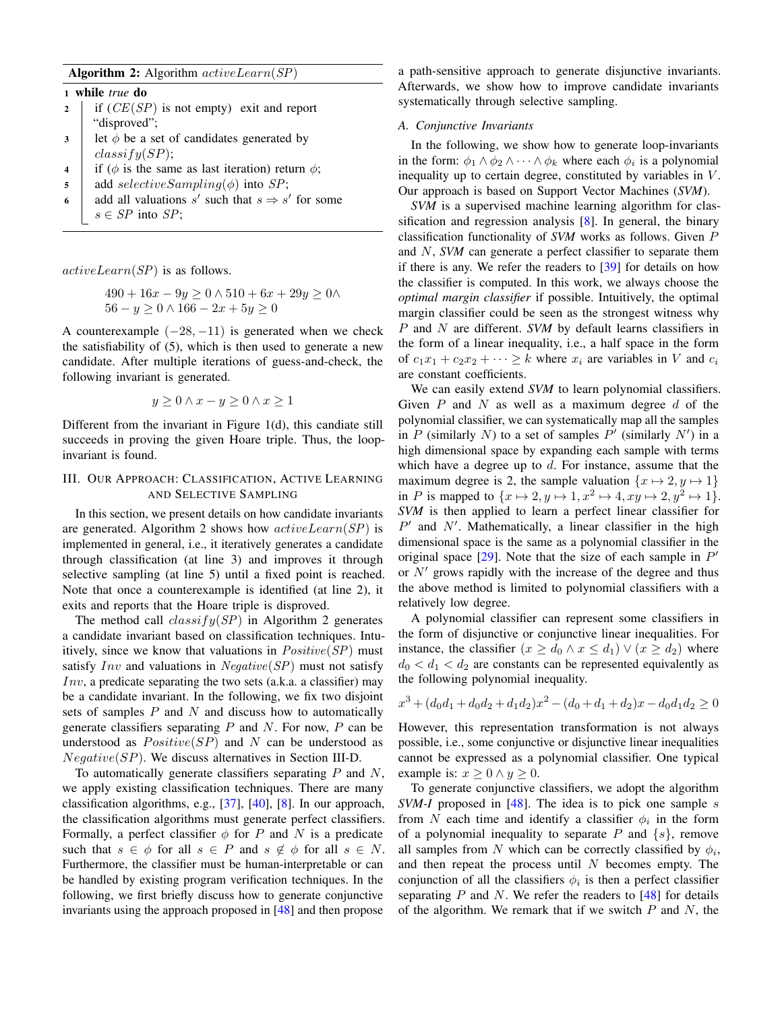# Algorithm 2: Algorithm  $activeLearn(SP)$

<sup>1</sup> while *true* do

- 2 if  $(CE(SP)$  is not empty) exit and report "disproved";
- $3$  let  $\phi$  be a set of candidates generated by  $classify(SP);$
- 4 if ( $\phi$  is the same as last iteration) return  $\phi$ ;
- 5 | add selectiveSampling( $\phi$ ) into SP;
- <span id="page-3-1"></span>6 add all valuations s' such that  $s \Rightarrow s'$  for some  $s \in SP$  into  $SP$ ;

 $activeLearn(SP)$  is as follows.

$$
490 + 16x - 9y \ge 0 \land 510 + 6x + 29y \ge 0 \land
$$
  

$$
56 - y \ge 0 \land 166 - 2x + 5y \ge 0
$$

A counterexample  $(-28, -11)$  is generated when we check the satisfiability of (5), which is then used to generate a new candidate. After multiple iterations of guess-and-check, the following invariant is generated.

$$
y \ge 0 \land x - y \ge 0 \land x \ge 1
$$

Different from the invariant in Figure [1\(](#page-2-0)d), this candiate still succeeds in proving the given Hoare triple. Thus, the loopinvariant is found.

# <span id="page-3-0"></span>III. OUR APPROACH: CLASSIFICATION, ACTIVE LEARNING AND SELECTIVE SAMPLING

In this section, we present details on how candidate invariants are generated. Algorithm [2](#page-3-1) shows how  $activeLearn(SP)$  is implemented in general, i.e., it iteratively generates a candidate through classification (at line 3) and improves it through selective sampling (at line 5) until a fixed point is reached. Note that once a counterexample is identified (at line 2), it exits and reports that the Hoare triple is disproved.

The method call  $classify(SP)$  in Algorithm [2](#page-3-1) generates a candidate invariant based on classification techniques. Intuitively, since we know that valuations in  $Positive(SP)$  must satisfy  $Inv$  and valuations in  $Negative(SP)$  must not satisfy  $Inv$ , a predicate separating the two sets (a.k.a. a classifier) may be a candidate invariant. In the following, we fix two disjoint sets of samples  $P$  and  $N$  and discuss how to automatically generate classifiers separating  $P$  and  $N$ . For now,  $P$  can be understood as  $Positive(SP)$  and N can be understood as  $Negative(SP)$ . We discuss alternatives in Section [III-D.](#page-6-1)

To automatically generate classifiers separating  $P$  and  $N$ , we apply existing classification techniques. There are many classification algorithms, e.g., [\[37\]](#page-10-33), [\[40\]](#page-10-34), [\[8\]](#page-10-35). In our approach, the classification algorithms must generate perfect classifiers. Formally, a perfect classifier  $\phi$  for P and N is a predicate such that  $s \in \phi$  for all  $s \in P$  and  $s \notin \phi$  for all  $s \in N$ . Furthermore, the classifier must be human-interpretable or can be handled by existing program verification techniques. In the following, we first briefly discuss how to generate conjunctive invariants using the approach proposed in [\[48\]](#page-10-15) and then propose

a path-sensitive approach to generate disjunctive invariants. Afterwards, we show how to improve candidate invariants systematically through selective sampling.

## <span id="page-3-2"></span>*A. Conjunctive Invariants*

In the following, we show how to generate loop-invariants in the form:  $\phi_1 \wedge \phi_2 \wedge \cdots \wedge \phi_k$  where each  $\phi_i$  is a polynomial inequality up to certain degree, constituted by variables in V . Our approach is based on Support Vector Machines (*SVM*).

*SVM* is a supervised machine learning algorithm for classification and regression analysis [\[8\]](#page-10-35). In general, the binary classification functionality of *SVM* works as follows. Given P and N, *SVM* can generate a perfect classifier to separate them if there is any. We refer the readers to [\[39\]](#page-10-36) for details on how the classifier is computed. In this work, we always choose the *optimal margin classifier* if possible. Intuitively, the optimal margin classifier could be seen as the strongest witness why P and N are different. *SVM* by default learns classifiers in the form of a linear inequality, i.e., a half space in the form of  $c_1x_1 + c_2x_2 + \cdots \ge k$  where  $x_i$  are variables in V and  $c_i$ are constant coefficients.

We can easily extend *SVM* to learn polynomial classifiers. Given  $P$  and  $N$  as well as a maximum degree  $d$  of the polynomial classifier, we can systematically map all the samples in P (similarly N) to a set of samples  $P'$  (similarly N') in a high dimensional space by expanding each sample with terms which have a degree up to  $d$ . For instance, assume that the maximum degree is 2, the sample valuation  $\{x \mapsto 2, y \mapsto 1\}$ in P is mapped to  $\{x \mapsto 2, y \mapsto 1, x^2 \mapsto 4, xy \mapsto 2, y^2 \mapsto 1\}.$ *SVM* is then applied to learn a perfect linear classifier for  $P'$  and  $N'$ . Mathematically, a linear classifier in the high dimensional space is the same as a polynomial classifier in the original space  $[29]$ . Note that the size of each sample in  $P'$ or  $N'$  grows rapidly with the increase of the degree and thus the above method is limited to polynomial classifiers with a relatively low degree.

A polynomial classifier can represent some classifiers in the form of disjunctive or conjunctive linear inequalities. For instance, the classifier  $(x \ge d_0 \land x \le d_1) \lor (x \ge d_2)$  where  $d_0 < d_1 < d_2$  are constants can be represented equivalently as the following polynomial inequality.

$$
x^{3} + (d_{0}d_{1} + d_{0}d_{2} + d_{1}d_{2})x^{2} - (d_{0} + d_{1} + d_{2})x - d_{0}d_{1}d_{2} \ge 0
$$

However, this representation transformation is not always possible, i.e., some conjunctive or disjunctive linear inequalities cannot be expressed as a polynomial classifier. One typical example is:  $x \geq 0 \land y \geq 0$ .

To generate conjunctive classifiers, we adopt the algorithm *SVM-I* proposed in [\[48\]](#page-10-15). The idea is to pick one sample s from N each time and identify a classifier  $\phi_i$  in the form of a polynomial inequality to separate P and  $\{s\}$ , remove all samples from N which can be correctly classified by  $\phi_i$ , and then repeat the process until  $N$  becomes empty. The conjunction of all the classifiers  $\phi_i$  is then a perfect classifier separating  $P$  and  $N$ . We refer the readers to  $[48]$  for details of the algorithm. We remark that if we switch  $P$  and  $N$ , the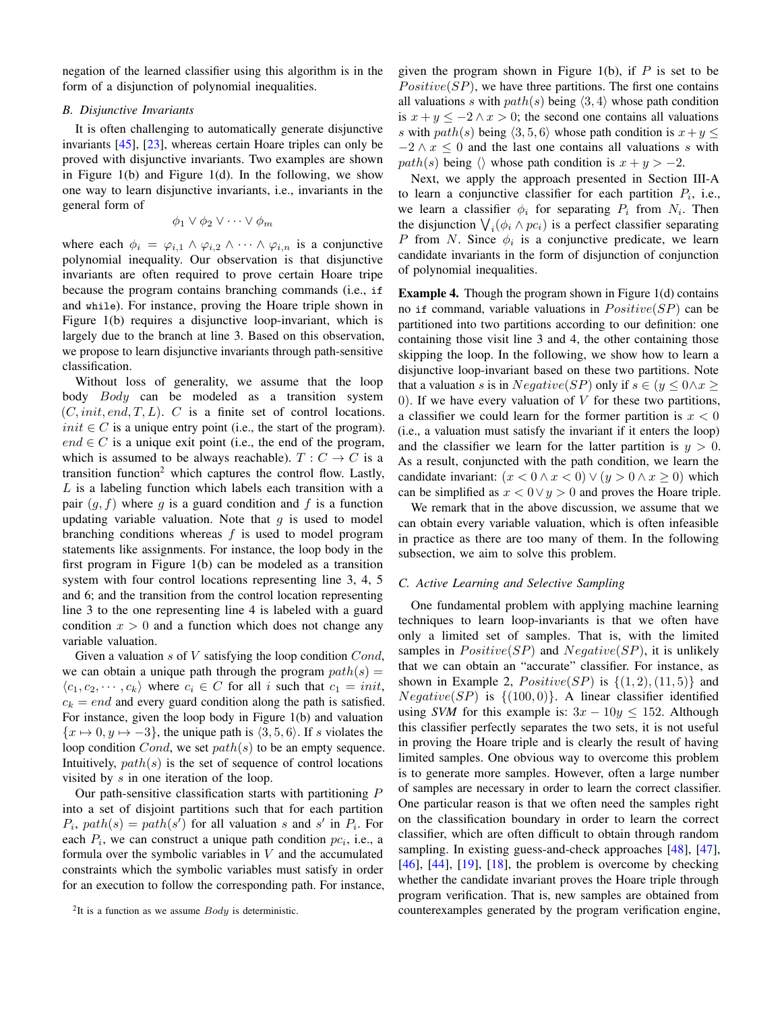negation of the learned classifier using this algorithm is in the form of a disjunction of polynomial inequalities.

#### *B. Disjunctive Invariants*

It is often challenging to automatically generate disjunctive invariants [\[45\]](#page-10-23), [\[23\]](#page-10-22), whereas certain Hoare triples can only be proved with disjunctive invariants. Two examples are shown in Figure  $1(b)$  and Figure  $1(d)$ . In the following, we show one way to learn disjunctive invariants, i.e., invariants in the general form of

$$
\phi_1 \vee \phi_2 \vee \cdots \vee \phi_m
$$

where each  $\phi_i = \varphi_{i,1} \wedge \varphi_{i,2} \wedge \cdots \wedge \varphi_{i,n}$  is a conjunctive polynomial inequality. Our observation is that disjunctive invariants are often required to prove certain Hoare tripe because the program contains branching commands (i.e., if and while). For instance, proving the Hoare triple shown in Figure [1\(](#page-2-0)b) requires a disjunctive loop-invariant, which is largely due to the branch at line 3. Based on this observation, we propose to learn disjunctive invariants through path-sensitive classification.

Without loss of generality, we assume that the loop body Body can be modeled as a transition system  $(C, init, end, T, L)$ . C is a finite set of control locations.  $init \in C$  is a unique entry point (i.e., the start of the program).  $end \in C$  is a unique exit point (i.e., the end of the program, which is assumed to be always reachable).  $T: C \rightarrow C$  is a transition function<sup>[2](#page-4-0)</sup> which captures the control flow. Lastly, L is a labeling function which labels each transition with a pair  $(g, f)$  where g is a guard condition and f is a function updating variable valuation. Note that  $q$  is used to model branching conditions whereas  $f$  is used to model program statements like assignments. For instance, the loop body in the first program in Figure [1\(](#page-2-0)b) can be modeled as a transition system with four control locations representing line 3, 4, 5 and 6; and the transition from the control location representing line 3 to the one representing line 4 is labeled with a guard condition  $x > 0$  and a function which does not change any variable valuation.

Given a valuation s of V satisfying the loop condition  $Cond$ , we can obtain a unique path through the program  $path(s) =$  $\langle c_1, c_2, \cdots, c_k \rangle$  where  $c_i \in C$  for all i such that  $c_1 = init$ ,  $c_k = end$  and every guard condition along the path is satisfied. For instance, given the loop body in Figure [1\(](#page-2-0)b) and valuation  ${x \mapsto 0, y \mapsto -3}$ , the unique path is  $\langle 3, 5, 6 \rangle$ . If s violates the loop condition *Cond*, we set  $path(s)$  to be an empty sequence. Intuitively,  $path(s)$  is the set of sequence of control locations visited by s in one iteration of the loop.

Our path-sensitive classification starts with partitioning P into a set of disjoint partitions such that for each partition  $P_i$ ,  $path(s) = path(s')$  for all valuation s and s' in  $P_i$ . For each  $P_i$ , we can construct a unique path condition  $pc_i$ , i.e., a formula over the symbolic variables in  $V$  and the accumulated constraints which the symbolic variables must satisfy in order for an execution to follow the corresponding path. For instance,

given the program shown in Figure [1\(](#page-2-0)b), if  $P$  is set to be  $Positive(SP)$ , we have three partitions. The first one contains all valuations s with  $path(s)$  being  $\langle 3, 4 \rangle$  whose path condition is  $x + y \le -2 \land x > 0$ ; the second one contains all valuations s with path(s) being  $\langle 3, 5, 6 \rangle$  whose path condition is  $x+y \leq$  $-2 \wedge x \leq 0$  and the last one contains all valuations s with path(s) being  $\langle \rangle$  whose path condition is  $x + y > -2$ .

Next, we apply the approach presented in Section [III-A](#page-3-2) to learn a conjunctive classifier for each partition  $P_i$ , i.e., we learn a classifier  $\phi_i$  for separating  $P_i$  from  $N_i$ . Then the disjunction  $\bigvee_i (\phi_i \wedge pc_i)$  is a perfect classifier separating P from N. Since  $\phi_i$  is a conjunctive predicate, we learn candidate invariants in the form of disjunction of conjunction of polynomial inequalities.

Example 4. Though the program shown in Figure [1\(](#page-2-0)d) contains no if command, variable valuations in  $Positive(SP)$  can be partitioned into two partitions according to our definition: one containing those visit line 3 and 4, the other containing those skipping the loop. In the following, we show how to learn a disjunctive loop-invariant based on these two partitions. Note that a valuation s is in  $Negative(SP)$  only if  $s \in (y \leq 0 \land x \geq 0)$ 0). If we have every valuation of  $V$  for these two partitions, a classifier we could learn for the former partition is  $x < 0$ (i.e., a valuation must satisfy the invariant if it enters the loop) and the classifier we learn for the latter partition is  $y > 0$ . As a result, conjuncted with the path condition, we learn the candidate invariant:  $(x < 0 \land x < 0) \lor (y > 0 \land x \ge 0)$  which can be simplified as  $x < 0 \vee y > 0$  and proves the Hoare triple.

We remark that in the above discussion, we assume that we can obtain every variable valuation, which is often infeasible in practice as there are too many of them. In the following subsection, we aim to solve this problem.

## *C. Active Learning and Selective Sampling*

One fundamental problem with applying machine learning techniques to learn loop-invariants is that we often have only a limited set of samples. That is, with the limited samples in  $Positive(SP)$  and  $Negative(SP)$ , it is unlikely that we can obtain an "accurate" classifier. For instance, as shown in Example [2,](#page-2-2)  $Positive(SP)$  is  $\{(1, 2), (11, 5)\}$  and  $Negative(SP)$  is  $\{(100, 0)\}\$ . A linear classifier identified using *SVM* for this example is:  $3x - 10y \le 152$ . Although this classifier perfectly separates the two sets, it is not useful in proving the Hoare triple and is clearly the result of having limited samples. One obvious way to overcome this problem is to generate more samples. However, often a large number of samples are necessary in order to learn the correct classifier. One particular reason is that we often need the samples right on the classification boundary in order to learn the correct classifier, which are often difficult to obtain through random sampling. In existing guess-and-check approaches [\[48\]](#page-10-15), [\[47\]](#page-10-16),  $[46]$ ,  $[44]$ ,  $[19]$ ,  $[18]$ , the problem is overcome by checking whether the candidate invariant proves the Hoare triple through program verification. That is, new samples are obtained from counterexamples generated by the program verification engine,

<span id="page-4-0"></span><sup>&</sup>lt;sup>2</sup>It is a function as we assume  $Body$  is deterministic.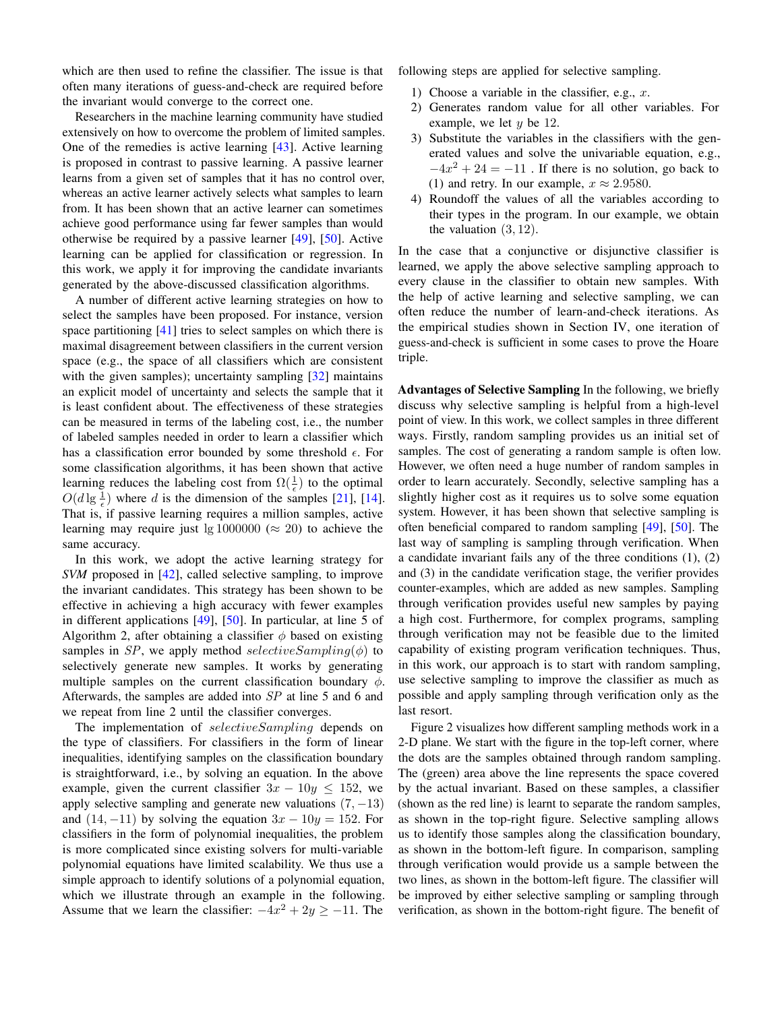which are then used to refine the classifier. The issue is that often many iterations of guess-and-check are required before the invariant would converge to the correct one.

Researchers in the machine learning community have studied extensively on how to overcome the problem of limited samples. One of the remedies is active learning [\[43\]](#page-10-38). Active learning is proposed in contrast to passive learning. A passive learner learns from a given set of samples that it has no control over, whereas an active learner actively selects what samples to learn from. It has been shown that an active learner can sometimes achieve good performance using far fewer samples than would otherwise be required by a passive learner [\[49\]](#page-10-39), [\[50\]](#page-10-40). Active learning can be applied for classification or regression. In this work, we apply it for improving the candidate invariants generated by the above-discussed classification algorithms.

A number of different active learning strategies on how to select the samples have been proposed. For instance, version space partitioning [\[41\]](#page-10-41) tries to select samples on which there is maximal disagreement between classifiers in the current version space (e.g., the space of all classifiers which are consistent with the given samples); uncertainty sampling [\[32\]](#page-10-42) maintains an explicit model of uncertainty and selects the sample that it is least confident about. The effectiveness of these strategies can be measured in terms of the labeling cost, i.e., the number of labeled samples needed in order to learn a classifier which has a classification error bounded by some threshold  $\epsilon$ . For some classification algorithms, it has been shown that active learning reduces the labeling cost from  $\Omega(\frac{1}{\epsilon})$  to the optimal  $O(d \lg \frac{1}{\epsilon})$  where d is the dimension of the samples [\[21\]](#page-10-43), [\[14\]](#page-10-44). That is, if passive learning requires a million samples, active learning may require just lg 1000000 ( $\approx$  20) to achieve the same accuracy.

In this work, we adopt the active learning strategy for *SVM* proposed in [\[42\]](#page-10-45), called selective sampling, to improve the invariant candidates. This strategy has been shown to be effective in achieving a high accuracy with fewer examples in different applications [\[49\]](#page-10-39), [\[50\]](#page-10-40). In particular, at line 5 of Algorithm [2,](#page-3-1) after obtaining a classifier  $\phi$  based on existing samples in SP, we apply method selectiveSampling( $\phi$ ) to selectively generate new samples. It works by generating multiple samples on the current classification boundary  $\phi$ . Afterwards, the samples are added into SP at line 5 and 6 and we repeat from line 2 until the classifier converges.

The implementation of *selectiveSampling* depends on the type of classifiers. For classifiers in the form of linear inequalities, identifying samples on the classification boundary is straightforward, i.e., by solving an equation. In the above example, given the current classifier  $3x - 10y \le 152$ , we apply selective sampling and generate new valuations  $(7, -13)$ and  $(14, -11)$  by solving the equation  $3x - 10y = 152$ . For classifiers in the form of polynomial inequalities, the problem is more complicated since existing solvers for multi-variable polynomial equations have limited scalability. We thus use a simple approach to identify solutions of a polynomial equation, which we illustrate through an example in the following. Assume that we learn the classifier:  $-4x^2 + 2y \ge -11$ . The

following steps are applied for selective sampling.

- 1) Choose a variable in the classifier, e.g.,  $x$ .
- 2) Generates random value for all other variables. For example, we let  $y$  be 12.
- 3) Substitute the variables in the classifiers with the generated values and solve the univariable equation, e.g.,  $-4x^2 + 24 = -11$ . If there is no solution, go back to (1) and retry. In our example,  $x \approx 2.9580$ .
- 4) Roundoff the values of all the variables according to their types in the program. In our example, we obtain the valuation  $(3, 12)$ .

In the case that a conjunctive or disjunctive classifier is learned, we apply the above selective sampling approach to every clause in the classifier to obtain new samples. With the help of active learning and selective sampling, we can often reduce the number of learn-and-check iterations. As the empirical studies shown in Section [IV,](#page-6-0) one iteration of guess-and-check is sufficient in some cases to prove the Hoare triple.

Advantages of Selective Sampling In the following, we briefly discuss why selective sampling is helpful from a high-level point of view. In this work, we collect samples in three different ways. Firstly, random sampling provides us an initial set of samples. The cost of generating a random sample is often low. However, we often need a huge number of random samples in order to learn accurately. Secondly, selective sampling has a slightly higher cost as it requires us to solve some equation system. However, it has been shown that selective sampling is often beneficial compared to random sampling [\[49\]](#page-10-39), [\[50\]](#page-10-40). The last way of sampling is sampling through verification. When a candidate invariant fails any of the three conditions (1), (2) and (3) in the candidate verification stage, the verifier provides counter-examples, which are added as new samples. Sampling through verification provides useful new samples by paying a high cost. Furthermore, for complex programs, sampling through verification may not be feasible due to the limited capability of existing program verification techniques. Thus, in this work, our approach is to start with random sampling, use selective sampling to improve the classifier as much as possible and apply sampling through verification only as the last resort.

Figure [2](#page-6-2) visualizes how different sampling methods work in a 2-D plane. We start with the figure in the top-left corner, where the dots are the samples obtained through random sampling. The (green) area above the line represents the space covered by the actual invariant. Based on these samples, a classifier (shown as the red line) is learnt to separate the random samples, as shown in the top-right figure. Selective sampling allows us to identify those samples along the classification boundary, as shown in the bottom-left figure. In comparison, sampling through verification would provide us a sample between the two lines, as shown in the bottom-left figure. The classifier will be improved by either selective sampling or sampling through verification, as shown in the bottom-right figure. The benefit of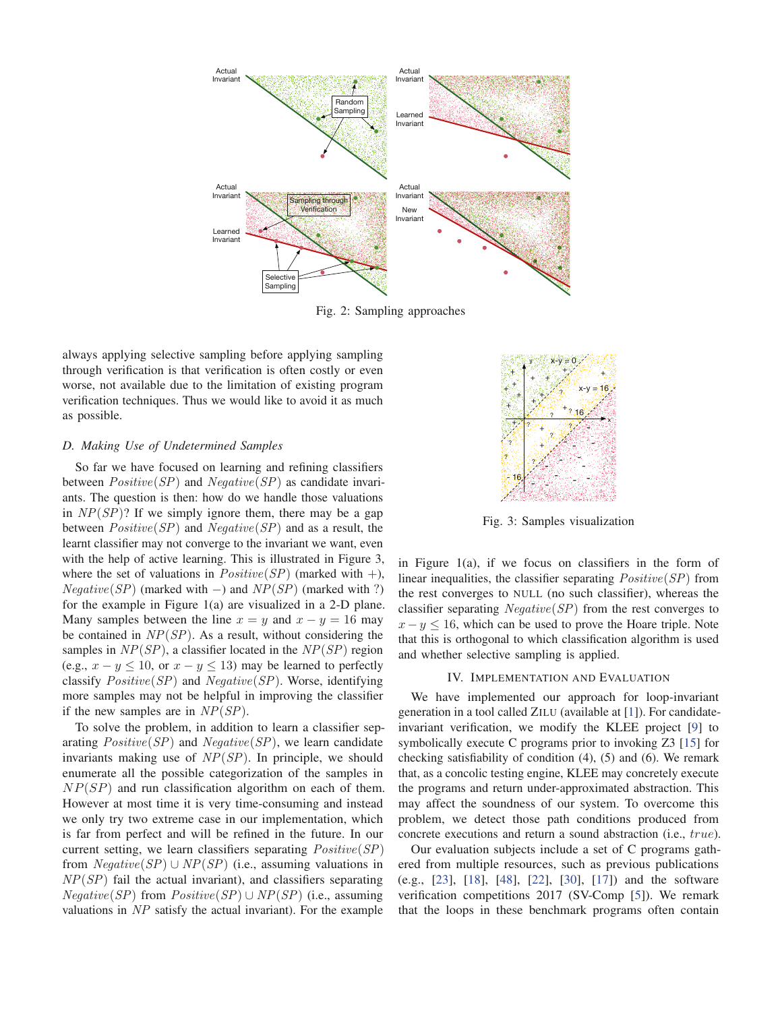<span id="page-6-2"></span>

<span id="page-6-3"></span>Fig. 2: Sampling approaches

always applying selective sampling before applying sampling through verification is that verification is often costly or even worse, not available due to the limitation of existing program verification techniques. Thus we would like to avoid it as much as possible.

## <span id="page-6-1"></span>*D. Making Use of Undetermined Samples*

So far we have focused on learning and refining classifiers between  $Positive(SP)$  and  $Negative(SP)$  as candidate invariants. The question is then: how do we handle those valuations in  $NP(SP)$ ? If we simply ignore them, there may be a gap between  $Positive(SP)$  and  $Negative(SP)$  and as a result, the learnt classifier may not converge to the invariant we want, even with the help of active learning. This is illustrated in Figure [3,](#page-6-3) where the set of valuations in  $Positive(SP)$  (marked with +),  $Negative(SP)$  (marked with –) and  $NP(SP)$  (marked with ?) for the example in Figure [1\(](#page-2-0)a) are visualized in a 2-D plane. Many samples between the line  $x = y$  and  $x - y = 16$  may be contained in  $NP(SP)$ . As a result, without considering the samples in  $NP(SP)$ , a classifier located in the  $NP(SP)$  region (e.g.,  $x - y \le 10$ , or  $x - y \le 13$ ) may be learned to perfectly classify  $Positive(SP)$  and  $Negative(SP)$ . Worse, identifying more samples may not be helpful in improving the classifier if the new samples are in  $NP(SP)$ .

To solve the problem, in addition to learn a classifier separating  $Positive(SP)$  and  $Negative(SP)$ , we learn candidate invariants making use of  $NP(SP)$ . In principle, we should enumerate all the possible categorization of the samples in  $NP(SP)$  and run classification algorithm on each of them. However at most time it is very time-consuming and instead we only try two extreme case in our implementation, which is far from perfect and will be refined in the future. In our current setting, we learn classifiers separating  $Positive(SP)$ from  $Negative(SP) \cup NP(SP)$  (i.e., assuming valuations in  $NP(SP)$  fail the actual invariant), and classifiers separating  $Negative(SP)$  from  $Positive(SP) \cup NP(SP)$  (i.e., assuming valuations in NP satisfy the actual invariant). For the example



Fig. 3: Samples visualization

in Figure [1\(](#page-2-0)a), if we focus on classifiers in the form of linear inequalities, the classifier separating  $Positive(SP)$  from the rest converges to NULL (no such classifier), whereas the classifier separating  $Negative(SP)$  from the rest converges to  $x - y \le 16$ , which can be used to prove the Hoare triple. Note that this is orthogonal to which classification algorithm is used and whether selective sampling is applied.

#### IV. IMPLEMENTATION AND EVALUATION

<span id="page-6-0"></span>We have implemented our approach for loop-invariant generation in a tool called ZILU (available at [\[1\]](#page-10-24)). For candidateinvariant verification, we modify the KLEE project [\[9\]](#page-10-46) to symbolically execute C programs prior to invoking Z3 [\[15\]](#page-10-31) for checking satisfiability of condition (4), (5) and (6). We remark that, as a concolic testing engine, KLEE may concretely execute the programs and return under-approximated abstraction. This may affect the soundness of our system. To overcome this problem, we detect those path conditions produced from concrete executions and return a sound abstraction (i.e., true).

Our evaluation subjects include a set of C programs gathered from multiple resources, such as previous publications (e.g., [\[23\]](#page-10-22), [\[18\]](#page-10-20), [\[48\]](#page-10-15), [\[22\]](#page-10-47), [\[30\]](#page-10-25), [\[17\]](#page-10-14)) and the software verification competitions 2017 (SV-Comp [\[5\]](#page-10-29)). We remark that the loops in these benchmark programs often contain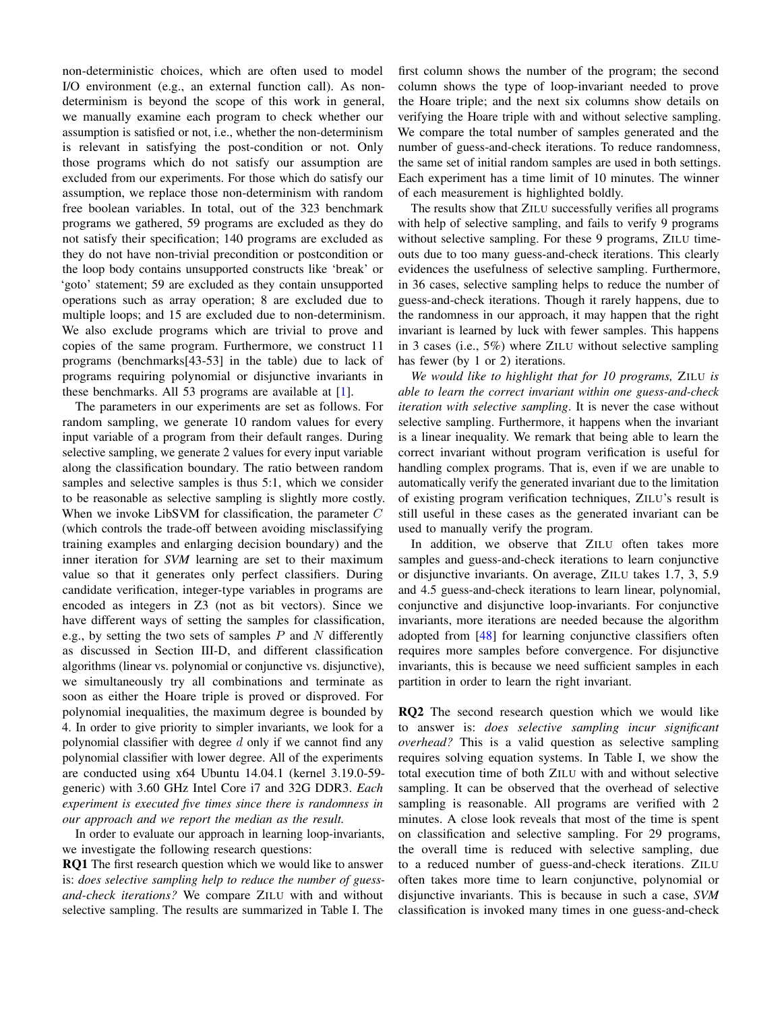non-deterministic choices, which are often used to model I/O environment (e.g., an external function call). As nondeterminism is beyond the scope of this work in general, we manually examine each program to check whether our assumption is satisfied or not, i.e., whether the non-determinism is relevant in satisfying the post-condition or not. Only those programs which do not satisfy our assumption are excluded from our experiments. For those which do satisfy our assumption, we replace those non-determinism with random free boolean variables. In total, out of the 323 benchmark programs we gathered, 59 programs are excluded as they do not satisfy their specification; 140 programs are excluded as they do not have non-trivial precondition or postcondition or the loop body contains unsupported constructs like 'break' or 'goto' statement; 59 are excluded as they contain unsupported operations such as array operation; 8 are excluded due to multiple loops; and 15 are excluded due to non-determinism. We also exclude programs which are trivial to prove and copies of the same program. Furthermore, we construct 11 programs (benchmarks[43-53] in the table) due to lack of programs requiring polynomial or disjunctive invariants in these benchmarks. All 53 programs are available at [\[1\]](#page-10-24).

The parameters in our experiments are set as follows. For random sampling, we generate 10 random values for every input variable of a program from their default ranges. During selective sampling, we generate 2 values for every input variable along the classification boundary. The ratio between random samples and selective samples is thus 5:1, which we consider to be reasonable as selective sampling is slightly more costly. When we invoke LibSVM for classification, the parameter  $C$ (which controls the trade-off between avoiding misclassifying training examples and enlarging decision boundary) and the inner iteration for *SVM* learning are set to their maximum value so that it generates only perfect classifiers. During candidate verification, integer-type variables in programs are encoded as integers in Z3 (not as bit vectors). Since we have different ways of setting the samples for classification, e.g., by setting the two sets of samples  $P$  and  $N$  differently as discussed in Section [III-D,](#page-6-1) and different classification algorithms (linear vs. polynomial or conjunctive vs. disjunctive), we simultaneously try all combinations and terminate as soon as either the Hoare triple is proved or disproved. For polynomial inequalities, the maximum degree is bounded by 4. In order to give priority to simpler invariants, we look for a polynomial classifier with degree  $d$  only if we cannot find any polynomial classifier with lower degree. All of the experiments are conducted using x64 Ubuntu 14.04.1 (kernel 3.19.0-59 generic) with 3.60 GHz Intel Core i7 and 32G DDR3. *Each experiment is executed five times since there is randomness in our approach and we report the median as the result.*

In order to evaluate our approach in learning loop-invariants, we investigate the following research questions:

RQ1 The first research question which we would like to answer is: *does selective sampling help to reduce the number of guessand-check iterations?* We compare ZILU with and without selective sampling. The results are summarized in Table [I.](#page-8-0) The

first column shows the number of the program; the second column shows the type of loop-invariant needed to prove the Hoare triple; and the next six columns show details on verifying the Hoare triple with and without selective sampling. We compare the total number of samples generated and the number of guess-and-check iterations. To reduce randomness, the same set of initial random samples are used in both settings. Each experiment has a time limit of 10 minutes. The winner of each measurement is highlighted boldly.

The results show that ZILU successfully verifies all programs with help of selective sampling, and fails to verify 9 programs without selective sampling. For these 9 programs, ZILU timeouts due to too many guess-and-check iterations. This clearly evidences the usefulness of selective sampling. Furthermore, in 36 cases, selective sampling helps to reduce the number of guess-and-check iterations. Though it rarely happens, due to the randomness in our approach, it may happen that the right invariant is learned by luck with fewer samples. This happens in 3 cases (i.e., 5%) where ZILU without selective sampling has fewer (by 1 or 2) iterations.

*We would like to highlight that for 10 programs,* ZILU *is able to learn the correct invariant within one guess-and-check iteration with selective sampling*. It is never the case without selective sampling. Furthermore, it happens when the invariant is a linear inequality. We remark that being able to learn the correct invariant without program verification is useful for handling complex programs. That is, even if we are unable to automatically verify the generated invariant due to the limitation of existing program verification techniques, ZILU's result is still useful in these cases as the generated invariant can be used to manually verify the program.

In addition, we observe that ZILU often takes more samples and guess-and-check iterations to learn conjunctive or disjunctive invariants. On average, ZILU takes 1.7, 3, 5.9 and 4.5 guess-and-check iterations to learn linear, polynomial, conjunctive and disjunctive loop-invariants. For conjunctive invariants, more iterations are needed because the algorithm adopted from [\[48\]](#page-10-15) for learning conjunctive classifiers often requires more samples before convergence. For disjunctive invariants, this is because we need sufficient samples in each partition in order to learn the right invariant.

RQ2 The second research question which we would like to answer is: *does selective sampling incur significant overhead?* This is a valid question as selective sampling requires solving equation systems. In Table [I,](#page-8-0) we show the total execution time of both ZILU with and without selective sampling. It can be observed that the overhead of selective sampling is reasonable. All programs are verified with 2 minutes. A close look reveals that most of the time is spent on classification and selective sampling. For 29 programs, the overall time is reduced with selective sampling, due to a reduced number of guess-and-check iterations. ZILU often takes more time to learn conjunctive, polynomial or disjunctive invariants. This is because in such a case, *SVM* classification is invoked many times in one guess-and-check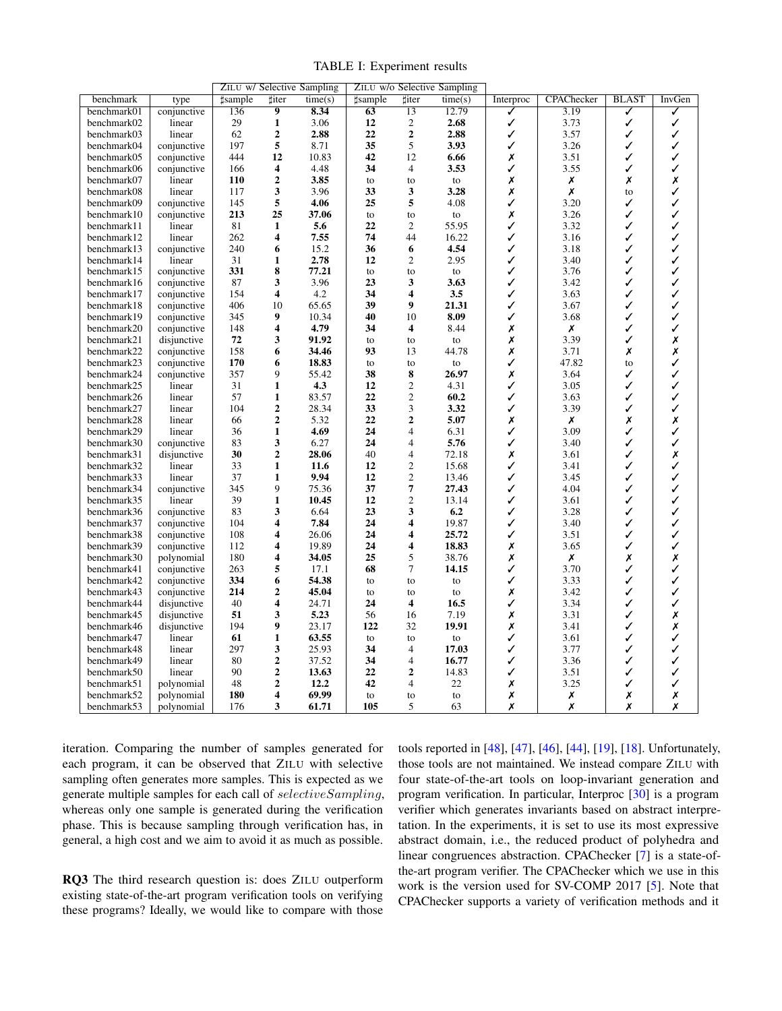TABLE I: Experiment results

<span id="page-8-0"></span>

|             |             | ZILU w/ Selective Sampling |                         |               |         |                         | ZILU w/o Selective Sampling |           |                            |              |              |
|-------------|-------------|----------------------------|-------------------------|---------------|---------|-------------------------|-----------------------------|-----------|----------------------------|--------------|--------------|
| benchmark   | type        | #sample                    | titer                   | time(s)       | #sample | titer                   | time(s)                     | Interproc | CPAChecker                 | <b>BLAST</b> | InvGen       |
| benchmark01 | conjunctive | 136                        | 9                       | 8.34          | 63      | 13                      | 12.79                       | ✓         | 3.19                       | ✓            | ✓            |
| benchmark02 | linear      | 29                         | $\mathbf{1}$            | 3.06          | 12      | $\boldsymbol{2}$        | 2.68                        | ✓         | 3.73                       | ✓            | ✓            |
| benchmark03 | linear      | 62                         | $\boldsymbol{2}$        | 2.88          | 22      | $\boldsymbol{2}$        | 2.88                        | ✓         | 3.57                       | ✓            | ✓            |
| benchmark04 | conjunctive | 197                        | 5                       | 8.71          | 35      | 5                       | 3.93                        | ✓         | 3.26                       | ✓            | ✓            |
| benchmark05 | conjunctive | 444                        | 12                      | 10.83         | 42      | 12                      | 6.66                        | Х         | 3.51                       | ✓            | ✓            |
| benchmark06 | conjunctive | 166                        | 4                       | 4.48          | 34      | 4                       | 3.53                        | ✓         | 3.55                       | ✓            | ✓            |
| benchmark07 | linear      | 110                        | $\overline{\mathbf{c}}$ | 3.85          | to      | to                      | to                          | X         | Х                          | Х            | Х            |
| benchmark08 | linear      | 117                        | 3                       | 3.96          | 33      | 3                       | 3.28                        | X         | Х                          | to           | ✓            |
| benchmark09 | conjunctive | 145                        | 5                       | 4.06          | 25      | 5                       | 4.08                        | ✓         | 3.20                       | ✓            | ✓            |
| benchmark10 | conjunctive | 213                        | 25                      | 37.06         | to      | to                      | to                          | Х         | 3.26                       | ✓            | ✓            |
| benchmark11 | linear      | 81                         | $\mathbf{1}$            | 5.6           | 22      | $\mathfrak{2}$          | 55.95                       | ✓         | 3.32                       | ✓            | ✓            |
| benchmark12 | linear      | 262                        | 4                       | 7.55          | 74      | 44                      | 16.22                       | ✓         | 3.16                       | ✓            | ✓            |
| benchmark13 | conjunctive | 240                        | 6                       | 15.2          | 36      | 6                       | 4.54                        | ✓         | 3.18                       | ✓            | ✓            |
| benchmark14 | linear      | 31                         | 1                       | 2.78          | 12      | $\mathfrak{2}$          | 2.95                        | ✓         | 3.40                       | ✓            | ✓            |
| benchmark15 | conjunctive | 331                        | 8                       | 77.21         | to      | to                      | to                          | ✓         | 3.76                       | ✓            | ✓            |
| benchmark16 | conjunctive | 87                         | 3                       | 3.96          | 23      | 3                       | 3.63                        | ✓         | 3.42                       | ✓            | ✓            |
| benchmark17 | conjunctive | 154                        | 4                       | 4.2           | 34      | 4                       | 3.5                         | ✓         | 3.63                       | ✓            | ✓            |
| benchmark18 | conjunctive | 406                        | 10                      | 65.65         | 39      | 9                       | 21.31                       | ✓         | 3.67                       | ✓            | ✓            |
|             |             | 345                        | 9                       |               | 40      | 10                      | 8.09                        | ✓         |                            | ✓            | ✓            |
| benchmark19 | conjunctive | 148                        | 4                       | 10.34<br>4.79 | 34      | 4                       | 8.44                        |           | 3.68                       | ✓            | ✓            |
| benchmark20 | conjunctive | 72                         | 3                       |               |         |                         |                             | Х         | $\pmb{\mathsf{x}}$<br>3.39 |              | X            |
| benchmark21 | disjunctive |                            |                         | 91.92         | to      | to                      | to                          | Х         |                            | ✓            |              |
| benchmark22 | conjunctive | 158                        | 6                       | 34.46         | 93      | 13                      | 44.78                       | X         | 3.71                       | Х            | X            |
| benchmark23 | conjunctive | 170                        | 6                       | 18.83         | to      | to                      | to                          | ✓         | 47.82                      | to           | ✓            |
| benchmark24 | conjunctive | 357                        | 9                       | 55.42         | 38      | 8                       | 26.97                       | X         | 3.64                       | ✓            | ✓            |
| benchmark25 | linear      | 31                         | $\mathbf{1}$            | 4.3           | 12      | $\overline{c}$          | 4.31                        | ✓         | 3.05                       | ✓            | ✓            |
| benchmark26 | linear      | 57                         | $\mathbf{1}$            | 83.57         | 22      | $\boldsymbol{2}$        | 60.2                        | ✓         | 3.63                       | ✓            | ✓            |
| benchmark27 | linear      | 104                        | $\overline{\mathbf{c}}$ | 28.34         | 33      | 3                       | 3.32                        | ✓         | 3.39                       | ✓            | ✓            |
| benchmark28 | linear      | 66                         | $\overline{2}$          | 5.32          | 22      | $\overline{2}$          | 5.07                        | X         | $\pmb{\mathsf{x}}$         | Х            | Х            |
| benchmark29 | linear      | 36                         | $\mathbf{1}$            | 4.69          | 24      | 4                       | 6.31                        | ✓         | 3.09                       | ✓            | ✓            |
| benchmark30 | conjunctive | 83                         | 3                       | 6.27          | 24      | $\overline{4}$          | 5.76                        | ✓         | 3.40                       | ✓            | ✓            |
| benchmark31 | disjunctive | 30                         | $\overline{2}$          | 28.06         | 40      | $\overline{4}$          | 72.18                       | X         | 3.61                       | ✓            | X            |
| benchmark32 | linear      | 33                         | $\mathbf{1}$            | 11.6          | 12      | $\overline{c}$          | 15.68                       | ✓         | 3.41                       | ✓            | ✓            |
| benchmark33 | linear      | 37                         | $\mathbf{1}$            | 9.94          | 12      | $\overline{c}$          | 13.46                       | ✓         | 3.45                       | ✓            | ✓            |
| benchmark34 | conjunctive | 345                        | 9                       | 75.36         | 37      | 7                       | 27.43                       | ✓         | 4.04                       | ✓            | ✓            |
| benchmark35 | linear      | 39                         | $\mathbf{1}$            | 10.45         | 12      | $\mathbf{2}$            | 13.14                       | ✓         | 3.61                       | ✓            | ✓            |
| benchmark36 | conjunctive | 83                         | 3                       | 6.64          | 23      | 3                       | 6.2                         | ✓         | 3.28                       | ✓            | ✓            |
| benchmark37 | conjunctive | 104                        | 4                       | 7.84          | 24      | 4                       | 19.87                       | ✓         | 3.40                       | ✓            | $\checkmark$ |
| benchmark38 | conjunctive | 108                        | 4                       | 26.06         | 24      | $\overline{\mathbf{4}}$ | 25.72                       | ✓         | 3.51                       | ✓            | ✓            |
| benchmark39 | conjunctive | 112                        | 4                       | 19.89         | 24      | 4                       | 18.83                       | Х         | 3.65                       | ✓            | ✓            |
| benchmark30 | polynomial  | 180                        | 4                       | 34.05         | 25      | 5                       | 38.76                       | X         | $\pmb{\mathsf{x}}$         | Х            | Х            |
| benchmark41 | conjunctive | 263                        | 5                       | 17.1          | 68      | $\tau$                  | 14.15                       | ✓         | 3.70                       | ✓            | ✓            |
| benchmark42 | conjunctive | 334                        | 6                       | 54.38         | to      | to                      | to                          | ✓         | 3.33                       | ✓            | ✓            |
| benchmark43 | conjunctive | 214                        | $\overline{2}$          | 45.04         | to      | to                      | to                          | X         | 3.42                       | ✓            | ✓            |
| benchmark44 | disjunctive | 40                         | $\overline{\mathbf{4}}$ | 24.71         | 24      | 4                       | 16.5                        | ✓         | 3.34                       | ✓            | ✓            |
| benchmark45 | disjunctive | 51                         | 3                       | 5.23          | 56      | 16                      | 7.19                        | Х         | 3.31                       | ✓            | X            |
| benchmark46 | disjunctive | 194                        | 9                       | 23.17         | 122     | 32                      | 19.91                       | X         | 3.41                       | ✓            | X            |
| benchmark47 | linear      | 61                         | $\mathbf{1}$            | 63.55         | to      | to                      | to                          | ✓         | 3.61                       | ✓            | ✓            |
| benchmark48 | linear      | 297                        | 3                       | 25.93         | 34      | 4                       | 17.03                       | ✓         | 3.77                       | ✓            | ✓            |
| benchmark49 | linear      | 80                         | 2                       | 37.52         | 34      | 4                       | 16.77                       | ✓         | 3.36                       | ✓            | ✓            |
| benchmark50 | linear      | 90                         | $\boldsymbol{2}$        | 13.63         | 22      | $\boldsymbol{2}$        | 14.83                       | ✓         | 3.51                       | ✓            | ✓            |
| benchmark51 | polynomial  | 48                         | $\overline{2}$          | 12.2          | 42      | 4                       | 22                          | Х         | 3.25                       | ✓            | ✓            |
| benchmark52 | polynomial  | 180                        | $\overline{\mathbf{4}}$ | 69.99         | to      | to                      | to                          | Х         | Х                          | Х            | Х            |
| benchmark53 | polynomial  | 176                        | 3                       | 61.71         | 105     | 5                       | 63                          | X         | X                          | X            | Х            |

iteration. Comparing the number of samples generated for each program, it can be observed that ZILU with selective sampling often generates more samples. This is expected as we generate multiple samples for each call of selectiveSampling, whereas only one sample is generated during the verification phase. This is because sampling through verification has, in general, a high cost and we aim to avoid it as much as possible.

RQ3 The third research question is: does ZILU outperform existing state-of-the-art program verification tools on verifying these programs? Ideally, we would like to compare with those tools reported in [\[48\]](#page-10-15), [\[47\]](#page-10-16), [\[46\]](#page-10-17), [\[44\]](#page-10-18), [\[19\]](#page-10-19), [\[18\]](#page-10-20). Unfortunately, those tools are not maintained. We instead compare ZILU with four state-of-the-art tools on loop-invariant generation and program verification. In particular, Interproc [\[30\]](#page-10-25) is a program verifier which generates invariants based on abstract interpretation. In the experiments, it is set to use its most expressive abstract domain, i.e., the reduced product of polyhedra and linear congruences abstraction. CPAChecker [\[7\]](#page-10-26) is a state-ofthe-art program verifier. The CPAChecker which we use in this work is the version used for SV-COMP 2017 [\[5\]](#page-10-29). Note that CPAChecker supports a variety of verification methods and it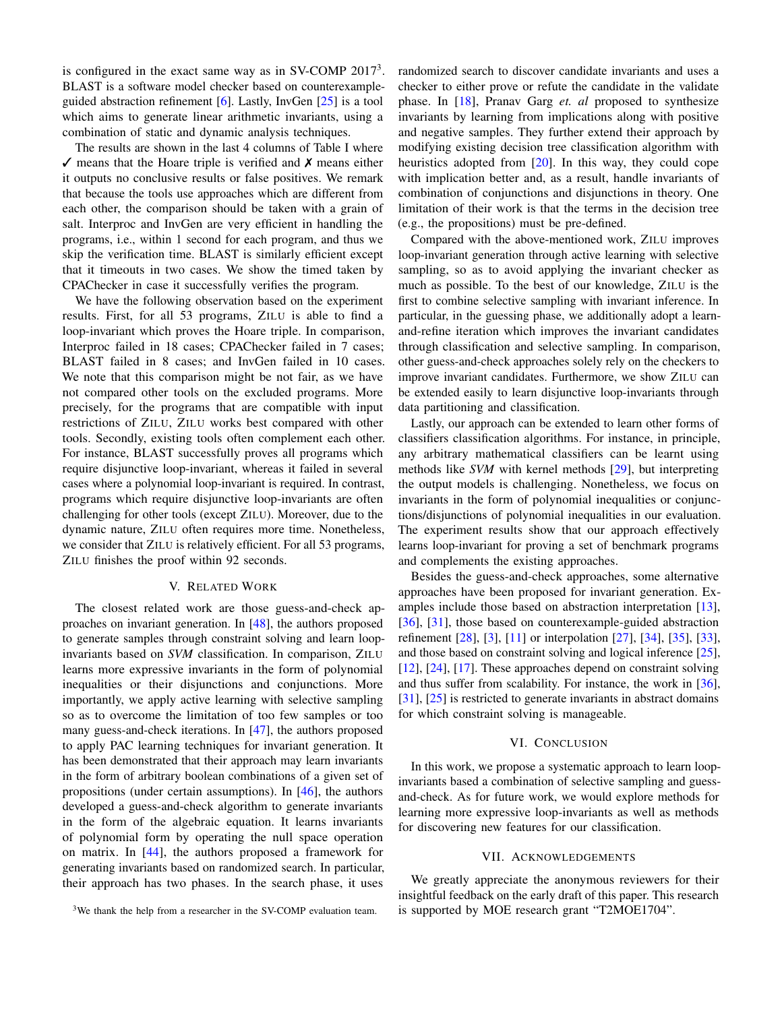is configured in the exact same way as in SV-COMP  $2017<sup>3</sup>$  $2017<sup>3</sup>$  $2017<sup>3</sup>$ . BLAST is a software model checker based on counterexampleguided abstraction refinement [\[6\]](#page-10-28). Lastly, InvGen [\[25\]](#page-10-11) is a tool which aims to generate linear arithmetic invariants, using a combination of static and dynamic analysis techniques.

The results are shown in the last 4 columns of Table [I](#page-8-0) where  $\checkmark$  means that the Hoare triple is verified and  $\checkmark$  means either it outputs no conclusive results or false positives. We remark that because the tools use approaches which are different from each other, the comparison should be taken with a grain of salt. Interproc and InvGen are very efficient in handling the programs, i.e., within 1 second for each program, and thus we skip the verification time. BLAST is similarly efficient except that it timeouts in two cases. We show the timed taken by CPAChecker in case it successfully verifies the program.

We have the following observation based on the experiment results. First, for all 53 programs, ZILU is able to find a loop-invariant which proves the Hoare triple. In comparison, Interproc failed in 18 cases; CPAChecker failed in 7 cases; BLAST failed in 8 cases; and InvGen failed in 10 cases. We note that this comparison might be not fair, as we have not compared other tools on the excluded programs. More precisely, for the programs that are compatible with input restrictions of ZILU, ZILU works best compared with other tools. Secondly, existing tools often complement each other. For instance, BLAST successfully proves all programs which require disjunctive loop-invariant, whereas it failed in several cases where a polynomial loop-invariant is required. In contrast, programs which require disjunctive loop-invariants are often challenging for other tools (except ZILU). Moreover, due to the dynamic nature, ZILU often requires more time. Nonetheless, we consider that ZILU is relatively efficient. For all 53 programs, ZILU finishes the proof within 92 seconds.

## V. RELATED WORK

<span id="page-9-0"></span>The closest related work are those guess-and-check approaches on invariant generation. In [\[48\]](#page-10-15), the authors proposed to generate samples through constraint solving and learn loopinvariants based on *SVM* classification. In comparison, ZILU learns more expressive invariants in the form of polynomial inequalities or their disjunctions and conjunctions. More importantly, we apply active learning with selective sampling so as to overcome the limitation of too few samples or too many guess-and-check iterations. In [\[47\]](#page-10-16), the authors proposed to apply PAC learning techniques for invariant generation. It has been demonstrated that their approach may learn invariants in the form of arbitrary boolean combinations of a given set of propositions (under certain assumptions). In [\[46\]](#page-10-17), the authors developed a guess-and-check algorithm to generate invariants in the form of the algebraic equation. It learns invariants of polynomial form by operating the null space operation on matrix. In [\[44\]](#page-10-18), the authors proposed a framework for generating invariants based on randomized search. In particular, their approach has two phases. In the search phase, it uses

randomized search to discover candidate invariants and uses a checker to either prove or refute the candidate in the validate phase. In [\[18\]](#page-10-20), Pranav Garg *et. al* proposed to synthesize invariants by learning from implications along with positive and negative samples. They further extend their approach by modifying existing decision tree classification algorithm with heuristics adopted from [\[20\]](#page-10-48). In this way, they could cope with implication better and, as a result, handle invariants of combination of conjunctions and disjunctions in theory. One limitation of their work is that the terms in the decision tree (e.g., the propositions) must be pre-defined.

Compared with the above-mentioned work, ZILU improves loop-invariant generation through active learning with selective sampling, so as to avoid applying the invariant checker as much as possible. To the best of our knowledge, ZILU is the first to combine selective sampling with invariant inference. In particular, in the guessing phase, we additionally adopt a learnand-refine iteration which improves the invariant candidates through classification and selective sampling. In comparison, other guess-and-check approaches solely rely on the checkers to improve invariant candidates. Furthermore, we show ZILU can be extended easily to learn disjunctive loop-invariants through data partitioning and classification.

Lastly, our approach can be extended to learn other forms of classifiers classification algorithms. For instance, in principle, any arbitrary mathematical classifiers can be learnt using methods like *SVM* with kernel methods [\[29\]](#page-10-37), but interpreting the output models is challenging. Nonetheless, we focus on invariants in the form of polynomial inequalities or conjunctions/disjunctions of polynomial inequalities in our evaluation. The experiment results show that our approach effectively learns loop-invariant for proving a set of benchmark programs and complements the existing approaches.

Besides the guess-and-check approaches, some alternative approaches have been proposed for invariant generation. Examples include those based on abstraction interpretation [\[13\]](#page-10-2), [\[36\]](#page-10-3), [\[31\]](#page-10-4), those based on counterexample-guided abstraction refinement [\[28\]](#page-10-5), [\[3\]](#page-10-6), [\[11\]](#page-10-7) or interpolation [\[27\]](#page-10-8), [\[34\]](#page-10-9), [\[35\]](#page-10-10), [\[33\]](#page-10-49), and those based on constraint solving and logical inference [\[25\]](#page-10-11), [\[12\]](#page-10-12), [\[24\]](#page-10-13), [\[17\]](#page-10-14). These approaches depend on constraint solving and thus suffer from scalability. For instance, the work in [\[36\]](#page-10-3), [\[31\]](#page-10-4), [\[25\]](#page-10-11) is restricted to generate invariants in abstract domains for which constraint solving is manageable.

## VI. CONCLUSION

<span id="page-9-1"></span>In this work, we propose a systematic approach to learn loopinvariants based a combination of selective sampling and guessand-check. As for future work, we would explore methods for learning more expressive loop-invariants as well as methods for discovering new features for our classification.

## VII. ACKNOWLEDGEMENTS

We greatly appreciate the anonymous reviewers for their insightful feedback on the early draft of this paper. This research is supported by MOE research grant "T2MOE1704".

<span id="page-9-2"></span><sup>&</sup>lt;sup>3</sup>We thank the help from a researcher in the SV-COMP evaluation team.